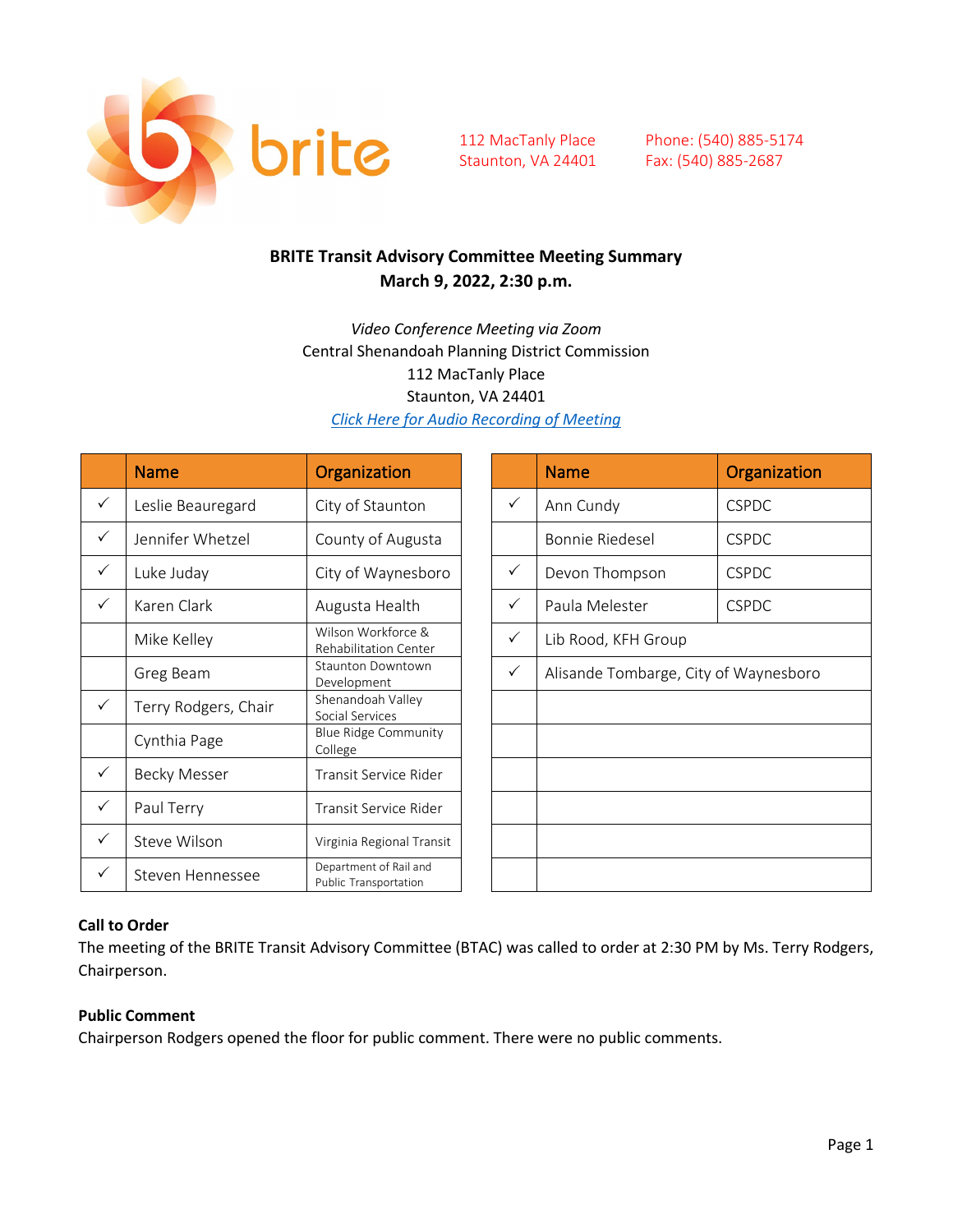

Phone: (540) 885-5174 Fax: (540) 885-2687

### **BRITE Transit Advisory Committee Meeting Summary March 9, 2022, 2:30 p.m.**

*Video Conference Meeting via Zoom* Central Shenandoah Planning District Commission 112 MacTanly Place Staunton, VA 24401 *[Click Here for Audio Recording of Meeting](https://www.britebus.org/wp-content/uploads/2022/03/March-9-2022-Recording.mp3)*

|              | <b>Name</b>          | Organization                                    |              | <b>Name</b>                           | Organization |
|--------------|----------------------|-------------------------------------------------|--------------|---------------------------------------|--------------|
| $\checkmark$ | Leslie Beauregard    | City of Staunton                                | $\checkmark$ | Ann Cundy                             | <b>CSPDC</b> |
| $\checkmark$ | Jennifer Whetzel     | County of Augusta                               |              | <b>Bonnie Riedesel</b>                | <b>CSPDC</b> |
| $\checkmark$ | Luke Juday           | City of Waynesboro                              | $\checkmark$ | Devon Thompson                        | <b>CSPDC</b> |
| $\checkmark$ | Karen Clark          | Augusta Health                                  | $\checkmark$ | Paula Melester                        | <b>CSPDC</b> |
|              | Mike Kelley          | Wilson Workforce &<br>Rehabilitation Center     | $\checkmark$ | Lib Rood, KFH Group                   |              |
|              | Greg Beam            | <b>Staunton Downtown</b><br>Development         | $\checkmark$ | Alisande Tombarge, City of Waynesboro |              |
| $\checkmark$ | Terry Rodgers, Chair | Shenandoah Valley<br>Social Services            |              |                                       |              |
|              | Cynthia Page         | <b>Blue Ridge Community</b><br>College          |              |                                       |              |
| $\checkmark$ | <b>Becky Messer</b>  | Transit Service Rider                           |              |                                       |              |
| $\checkmark$ | Paul Terry           | Transit Service Rider                           |              |                                       |              |
| $\checkmark$ | Steve Wilson         | Virginia Regional Transit                       |              |                                       |              |
| $\checkmark$ | Steven Hennessee     | Department of Rail and<br>Public Transportation |              |                                       |              |

| <b>Name</b>                           | Organization |  |
|---------------------------------------|--------------|--|
| Ann Cundy                             | <b>CSPDC</b> |  |
| <b>Bonnie Riedesel</b>                | <b>CSPDC</b> |  |
| Devon Thompson                        | <b>CSPDC</b> |  |
| Paula Melester                        | <b>CSPDC</b> |  |
| Lib Rood, KFH Group                   |              |  |
| Alisande Tombarge, City of Waynesboro |              |  |
|                                       |              |  |
|                                       |              |  |
|                                       |              |  |
|                                       |              |  |
|                                       |              |  |
|                                       |              |  |

### **Call to Order**

The meeting of the BRITE Transit Advisory Committee (BTAC) was called to order at 2:30 PM by Ms. Terry Rodgers, Chairperson.

#### **Public Comment**

Chairperson Rodgers opened the floor for public comment. There were no public comments.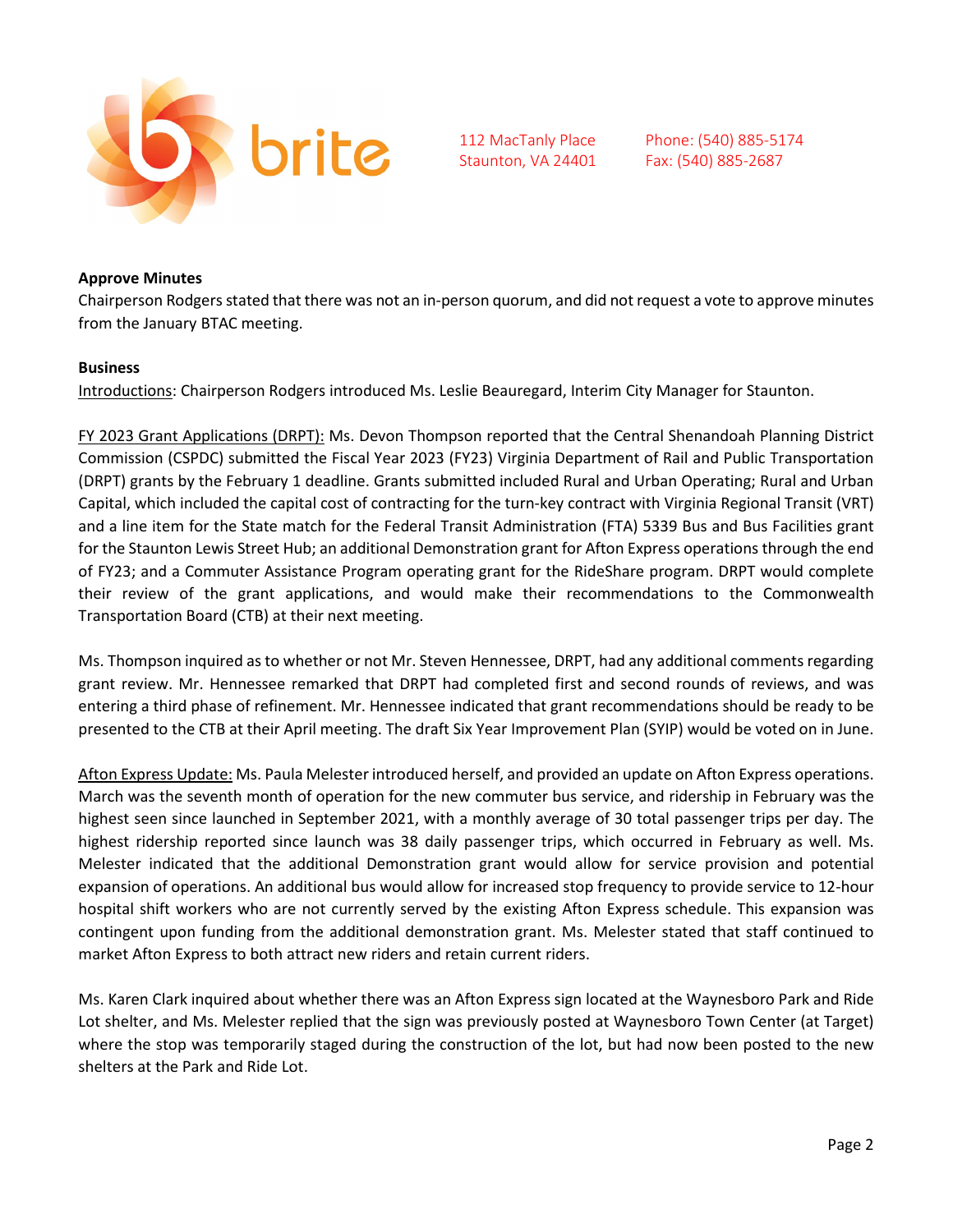

Phone: (540) 885-5174 Fax: (540) 885-2687

#### **Approve Minutes**

Chairperson Rodgersstated that there was not an in-person quorum, and did not request a vote to approve minutes from the January BTAC meeting.

#### **Business**

Introductions: Chairperson Rodgers introduced Ms. Leslie Beauregard, Interim City Manager for Staunton.

FY 2023 Grant Applications (DRPT): Ms. Devon Thompson reported that the Central Shenandoah Planning District Commission (CSPDC) submitted the Fiscal Year 2023 (FY23) Virginia Department of Rail and Public Transportation (DRPT) grants by the February 1 deadline. Grants submitted included Rural and Urban Operating; Rural and Urban Capital, which included the capital cost of contracting for the turn-key contract with Virginia Regional Transit (VRT) and a line item for the State match for the Federal Transit Administration (FTA) 5339 Bus and Bus Facilities grant for the Staunton Lewis Street Hub; an additional Demonstration grant for Afton Express operations through the end of FY23; and a Commuter Assistance Program operating grant for the RideShare program. DRPT would complete their review of the grant applications, and would make their recommendations to the Commonwealth Transportation Board (CTB) at their next meeting.

Ms. Thompson inquired as to whether or not Mr. Steven Hennessee, DRPT, had any additional comments regarding grant review. Mr. Hennessee remarked that DRPT had completed first and second rounds of reviews, and was entering a third phase of refinement. Mr. Hennessee indicated that grant recommendations should be ready to be presented to the CTB at their April meeting. The draft Six Year Improvement Plan (SYIP) would be voted on in June.

Afton Express Update: Ms. Paula Melester introduced herself, and provided an update on Afton Express operations. March was the seventh month of operation for the new commuter bus service, and ridership in February was the highest seen since launched in September 2021, with a monthly average of 30 total passenger trips per day. The highest ridership reported since launch was 38 daily passenger trips, which occurred in February as well. Ms. Melester indicated that the additional Demonstration grant would allow for service provision and potential expansion of operations. An additional bus would allow for increased stop frequency to provide service to 12-hour hospital shift workers who are not currently served by the existing Afton Express schedule. This expansion was contingent upon funding from the additional demonstration grant. Ms. Melester stated that staff continued to market Afton Express to both attract new riders and retain current riders.

Ms. Karen Clark inquired about whether there was an Afton Express sign located at the Waynesboro Park and Ride Lot shelter, and Ms. Melester replied that the sign was previously posted at Waynesboro Town Center (at Target) where the stop was temporarily staged during the construction of the lot, but had now been posted to the new shelters at the Park and Ride Lot.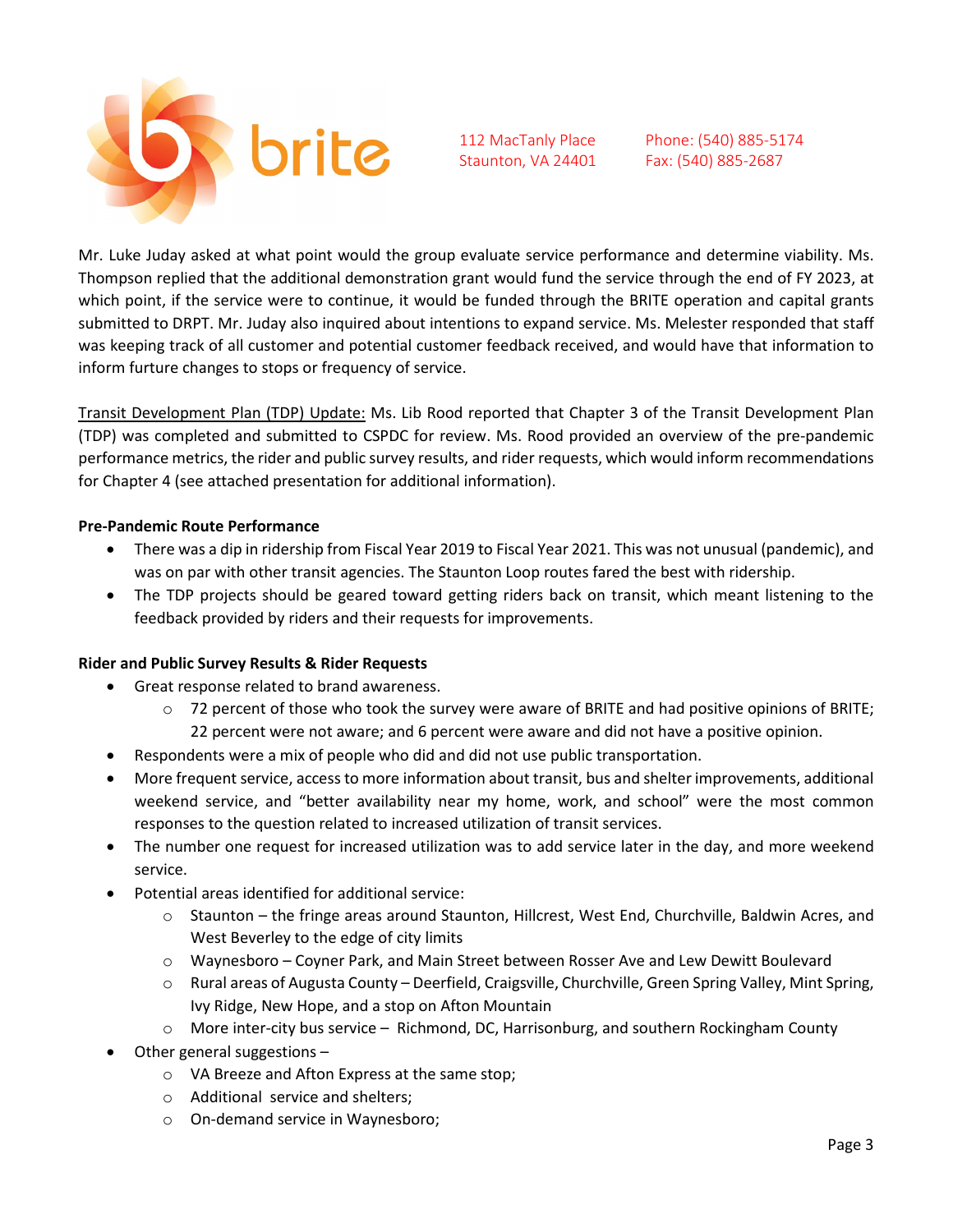

Phone: (540) 885-5174 Fax: (540) 885-2687

Mr. Luke Juday asked at what point would the group evaluate service performance and determine viability. Ms. Thompson replied that the additional demonstration grant would fund the service through the end of FY 2023, at which point, if the service were to continue, it would be funded through the BRITE operation and capital grants submitted to DRPT. Mr. Juday also inquired about intentions to expand service. Ms. Melester responded that staff was keeping track of all customer and potential customer feedback received, and would have that information to inform furture changes to stops or frequency of service.

Transit Development Plan (TDP) Update: Ms. Lib Rood reported that Chapter 3 of the Transit Development Plan (TDP) was completed and submitted to CSPDC for review. Ms. Rood provided an overview of the pre-pandemic performance metrics, the rider and public survey results, and rider requests, which would inform recommendations for Chapter 4 (see attached presentation for additional information).

#### **Pre-Pandemic Route Performance**

- There was a dip in ridership from Fiscal Year 2019 to Fiscal Year 2021. This was not unusual (pandemic), and was on par with other transit agencies. The Staunton Loop routes fared the best with ridership.
- The TDP projects should be geared toward getting riders back on transit, which meant listening to the feedback provided by riders and their requests for improvements.

#### **Rider and Public Survey Results & Rider Requests**

- Great response related to brand awareness.
	- $\circ$  72 percent of those who took the survey were aware of BRITE and had positive opinions of BRITE; 22 percent were not aware; and 6 percent were aware and did not have a positive opinion.
- Respondents were a mix of people who did and did not use public transportation.
- More frequent service, access to more information about transit, bus and shelter improvements, additional weekend service, and "better availability near my home, work, and school" were the most common responses to the question related to increased utilization of transit services.
- The number one request for increased utilization was to add service later in the day, and more weekend service.
- Potential areas identified for additional service:
	- o Staunton the fringe areas around Staunton, Hillcrest, West End, Churchville, Baldwin Acres, and West Beverley to the edge of city limits
	- o Waynesboro Coyner Park, and Main Street between Rosser Ave and Lew Dewitt Boulevard
	- o Rural areas of Augusta County Deerfield, Craigsville, Churchville, Green Spring Valley, Mint Spring, Ivy Ridge, New Hope, and a stop on Afton Mountain
	- $\circ$  More inter-city bus service Richmond, DC, Harrisonburg, and southern Rockingham County
- Other general suggestions
	- o VA Breeze and Afton Express at the same stop;
	- o Additional service and shelters;
	- o On-demand service in Waynesboro;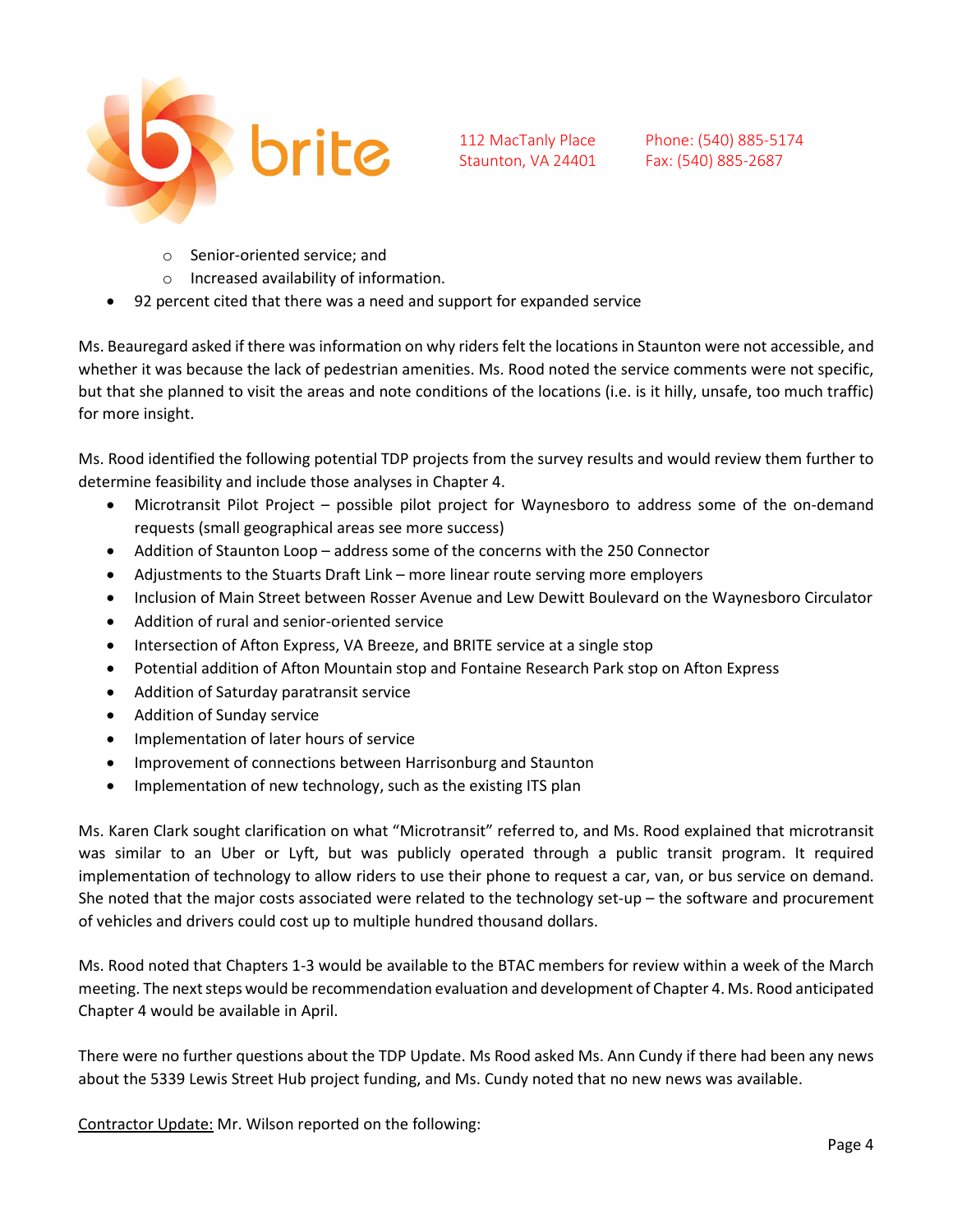

Phone: (540) 885-5174 Fax: (540) 885-2687

- o Senior-oriented service; and
- o Increased availability of information.
- 92 percent cited that there was a need and support for expanded service

Ms. Beauregard asked if there was information on why riders felt the locations in Staunton were not accessible, and whether it was because the lack of pedestrian amenities. Ms. Rood noted the service comments were not specific, but that she planned to visit the areas and note conditions of the locations (i.e. is it hilly, unsafe, too much traffic) for more insight.

Ms. Rood identified the following potential TDP projects from the survey results and would review them further to determine feasibility and include those analyses in Chapter 4.

- Microtransit Pilot Project possible pilot project for Waynesboro to address some of the on-demand requests (small geographical areas see more success)
- Addition of Staunton Loop address some of the concerns with the 250 Connector
- Adjustments to the Stuarts Draft Link more linear route serving more employers
- Inclusion of Main Street between Rosser Avenue and Lew Dewitt Boulevard on the Waynesboro Circulator
- Addition of rural and senior-oriented service
- Intersection of Afton Express, VA Breeze, and BRITE service at a single stop
- Potential addition of Afton Mountain stop and Fontaine Research Park stop on Afton Express
- Addition of Saturday paratransit service
- Addition of Sunday service
- Implementation of later hours of service
- Improvement of connections between Harrisonburg and Staunton
- Implementation of new technology, such as the existing ITS plan

Ms. Karen Clark sought clarification on what "Microtransit" referred to, and Ms. Rood explained that microtransit was similar to an Uber or Lyft, but was publicly operated through a public transit program. It required implementation of technology to allow riders to use their phone to request a car, van, or bus service on demand. She noted that the major costs associated were related to the technology set-up – the software and procurement of vehicles and drivers could cost up to multiple hundred thousand dollars.

Ms. Rood noted that Chapters 1-3 would be available to the BTAC members for review within a week of the March meeting. The next steps would be recommendation evaluation and development of Chapter 4. Ms. Rood anticipated Chapter 4 would be available in April.

There were no further questions about the TDP Update. Ms Rood asked Ms. Ann Cundy if there had been any news about the 5339 Lewis Street Hub project funding, and Ms. Cundy noted that no new news was available.

Contractor Update: Mr. Wilson reported on the following: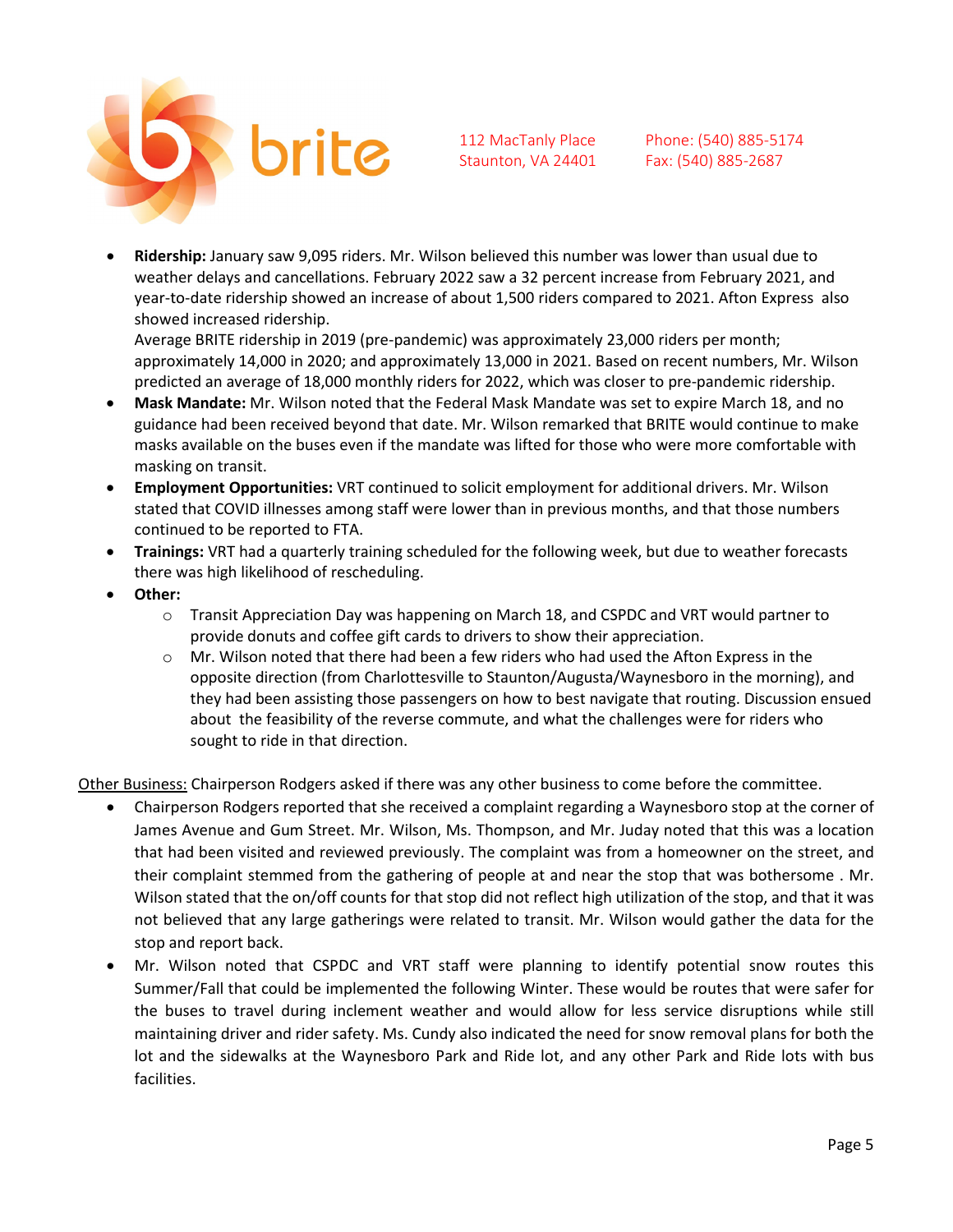

Phone: (540) 885-5174 Fax: (540) 885-2687

• **Ridership:** January saw 9,095 riders. Mr. Wilson believed this number was lower than usual due to weather delays and cancellations. February 2022 saw a 32 percent increase from February 2021, and year-to-date ridership showed an increase of about 1,500 riders compared to 2021. Afton Express also showed increased ridership.

Average BRITE ridership in 2019 (pre-pandemic) was approximately 23,000 riders per month; approximately 14,000 in 2020; and approximately 13,000 in 2021. Based on recent numbers, Mr. Wilson predicted an average of 18,000 monthly riders for 2022, which was closer to pre-pandemic ridership.

- **Mask Mandate:** Mr. Wilson noted that the Federal Mask Mandate was set to expire March 18, and no guidance had been received beyond that date. Mr. Wilson remarked that BRITE would continue to make masks available on the buses even if the mandate was lifted for those who were more comfortable with masking on transit.
- **Employment Opportunities:** VRT continued to solicit employment for additional drivers. Mr. Wilson stated that COVID illnesses among staff were lower than in previous months, and that those numbers continued to be reported to FTA.
- **Trainings:** VRT had a quarterly training scheduled for the following week, but due to weather forecasts there was high likelihood of rescheduling.
- **Other:**
	- o Transit Appreciation Day was happening on March 18, and CSPDC and VRT would partner to provide donuts and coffee gift cards to drivers to show their appreciation.
	- $\circ$  Mr. Wilson noted that there had been a few riders who had used the Afton Express in the opposite direction (from Charlottesville to Staunton/Augusta/Waynesboro in the morning), and they had been assisting those passengers on how to best navigate that routing. Discussion ensued about the feasibility of the reverse commute, and what the challenges were for riders who sought to ride in that direction.

Other Business: Chairperson Rodgers asked if there was any other business to come before the committee.

- Chairperson Rodgers reported that she received a complaint regarding a Waynesboro stop at the corner of James Avenue and Gum Street. Mr. Wilson, Ms. Thompson, and Mr. Juday noted that this was a location that had been visited and reviewed previously. The complaint was from a homeowner on the street, and their complaint stemmed from the gathering of people at and near the stop that was bothersome . Mr. Wilson stated that the on/off counts for that stop did not reflect high utilization of the stop, and that it was not believed that any large gatherings were related to transit. Mr. Wilson would gather the data for the stop and report back.
- Mr. Wilson noted that CSPDC and VRT staff were planning to identify potential snow routes this Summer/Fall that could be implemented the following Winter. These would be routes that were safer for the buses to travel during inclement weather and would allow for less service disruptions while still maintaining driver and rider safety. Ms. Cundy also indicated the need for snow removal plans for both the lot and the sidewalks at the Waynesboro Park and Ride lot, and any other Park and Ride lots with bus facilities.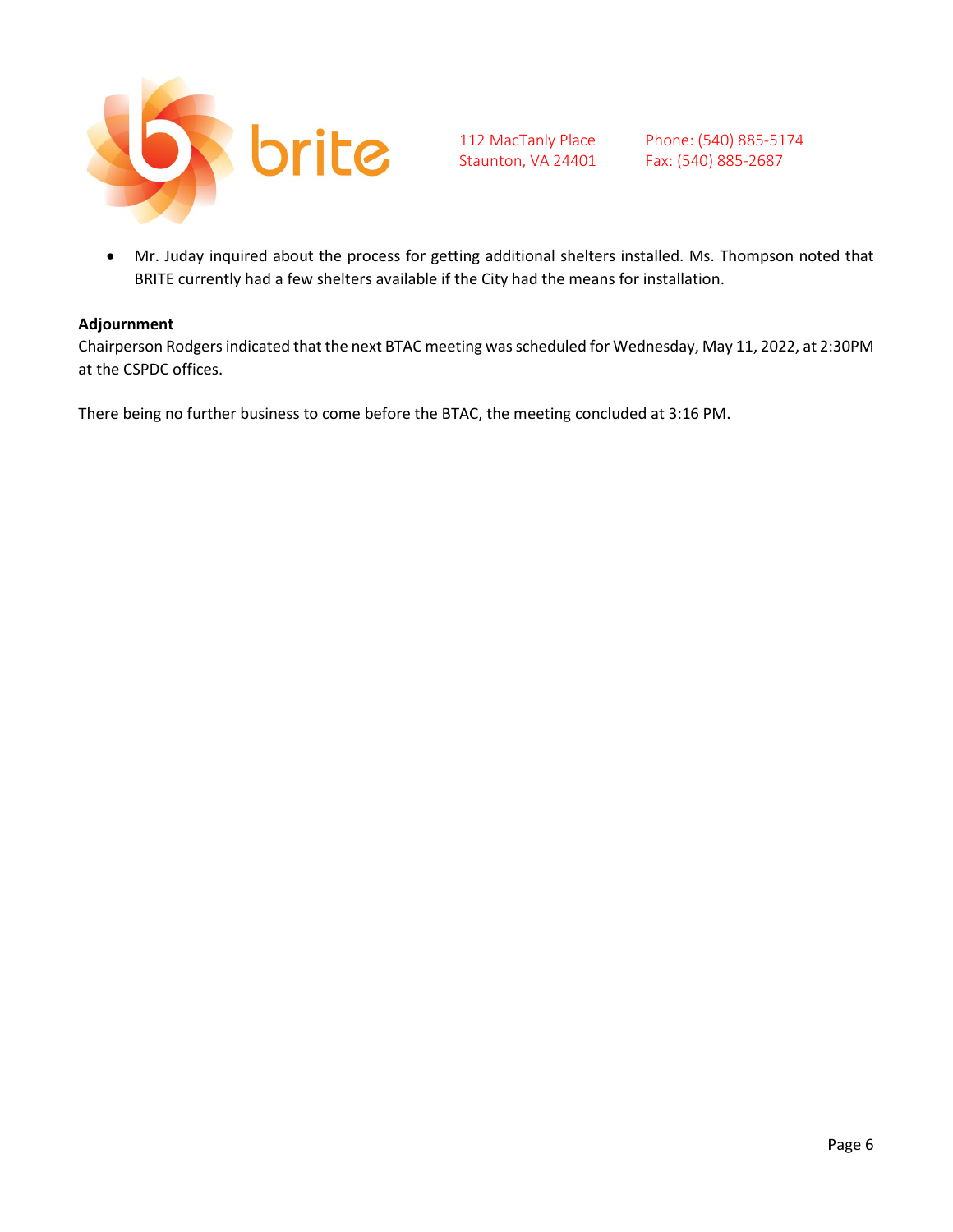

Phone: (540) 885-5174 Fax: (540) 885-2687

• Mr. Juday inquired about the process for getting additional shelters installed. Ms. Thompson noted that BRITE currently had a few shelters available if the City had the means for installation.

#### **Adjournment**

Chairperson Rodgers indicated that the next BTAC meeting was scheduled for Wednesday, May 11, 2022, at 2:30PM at the CSPDC offices.

There being no further business to come before the BTAC, the meeting concluded at 3:16 PM.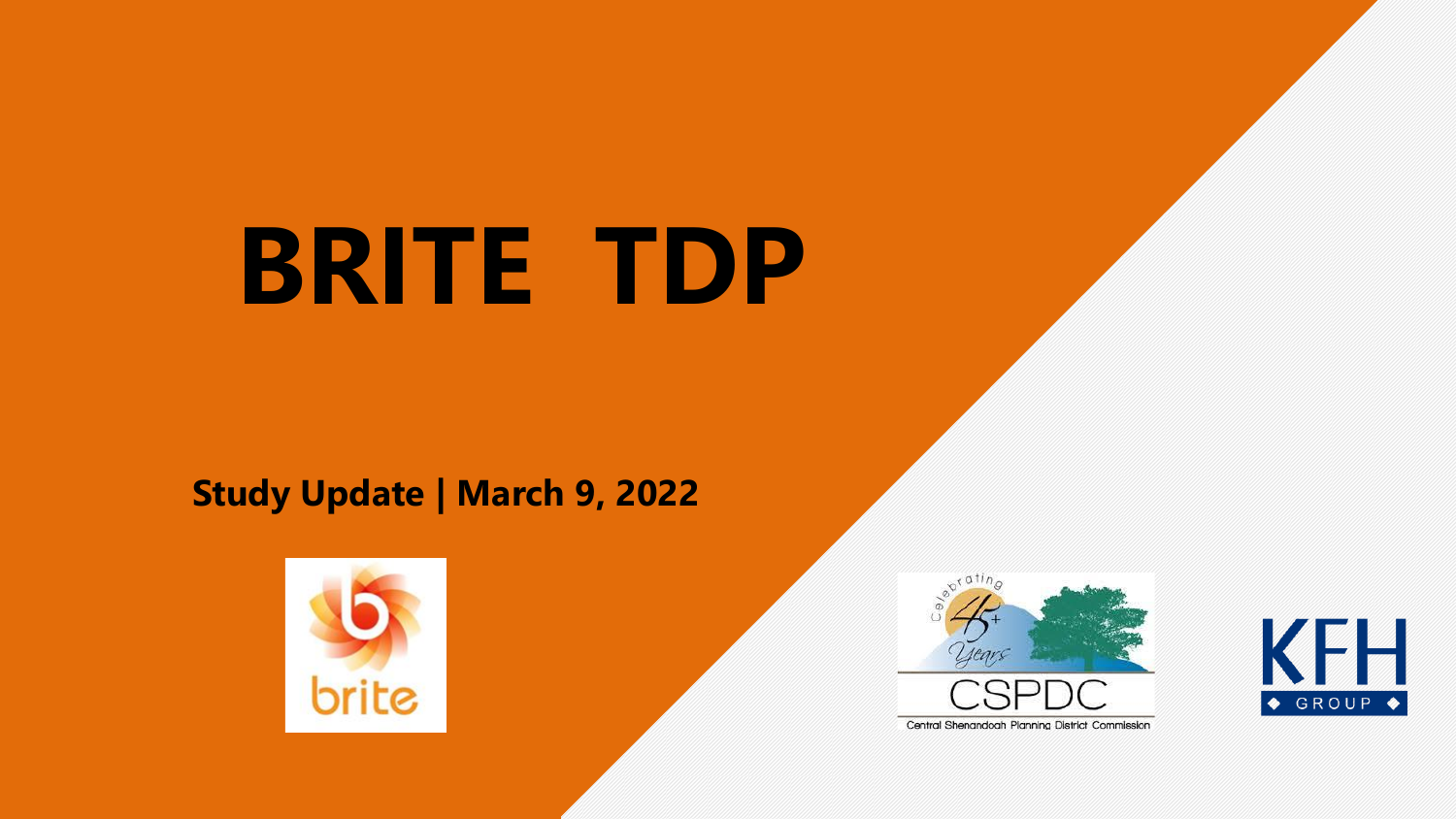# **BRITE TDP**

### **Study Update ǀ March 9, 2022**





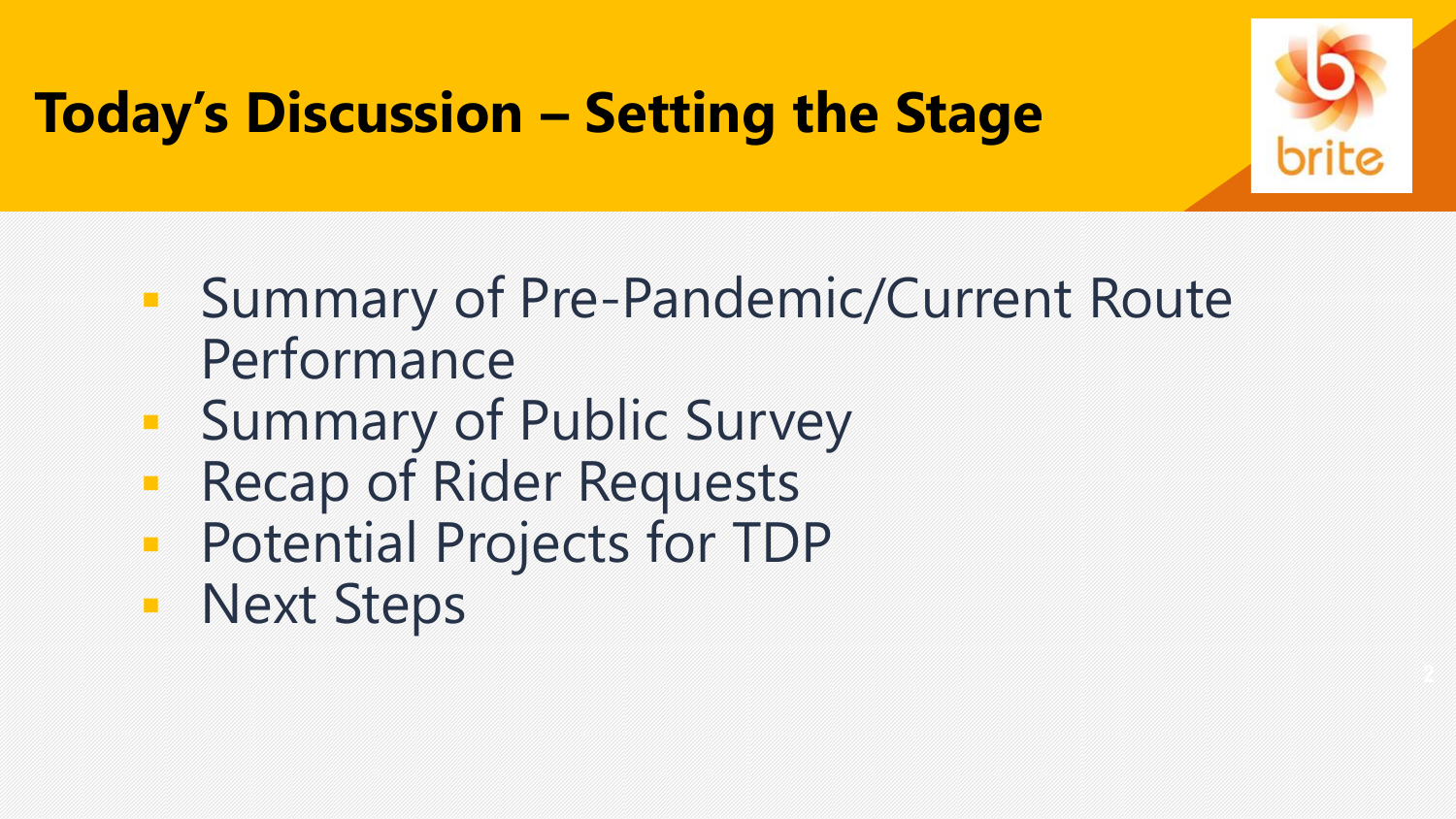

## **Today's Discussion – Setting the Stage**

- **Exammary of Pre-Pandemic/Current Route** Performance
- Summary of Public Survey
- Recap of Rider Requests
- Potential Projects for TDP
- Next Steps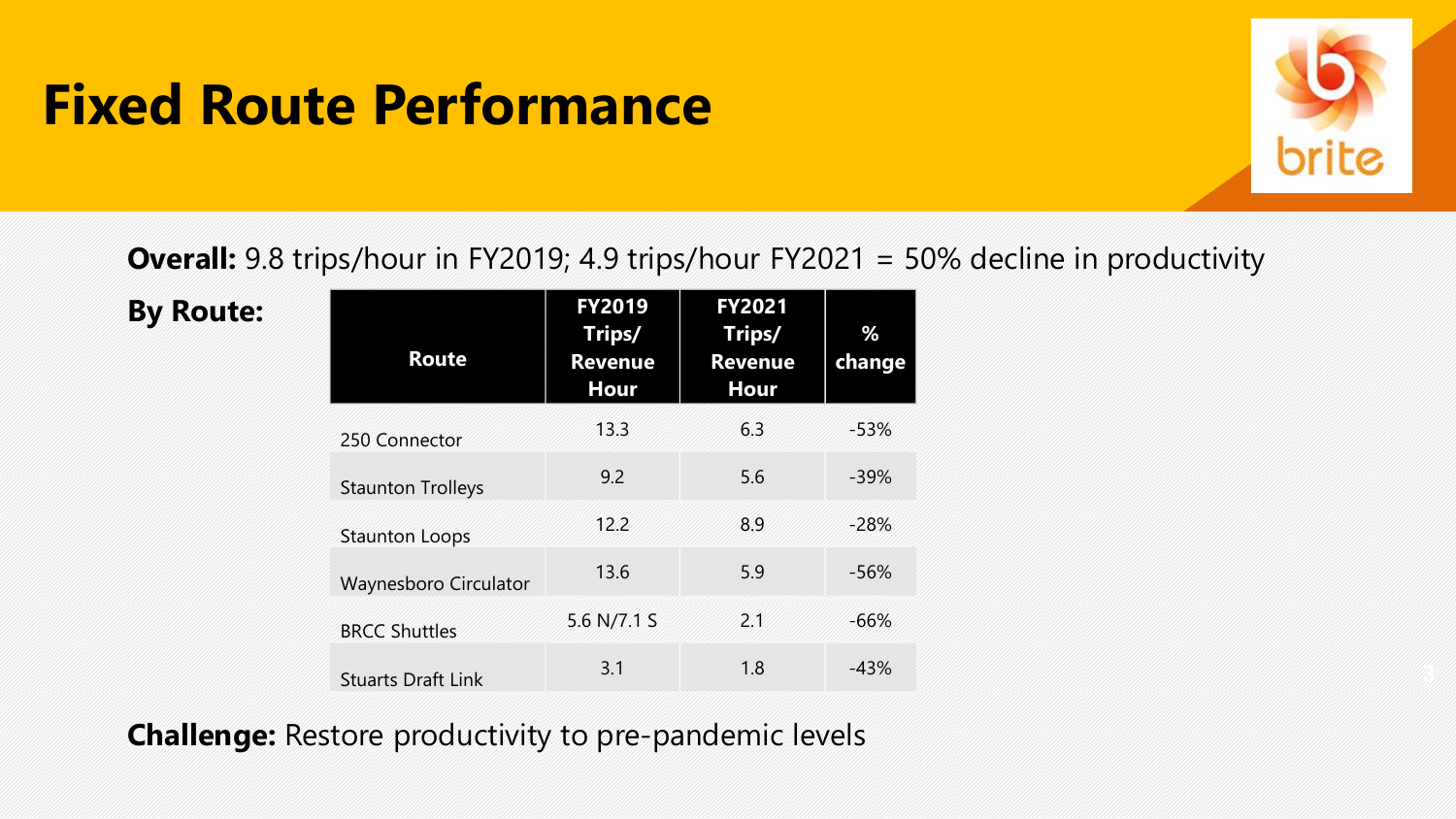## **Fixed Route Performance**



**Overall:** 9.8 trips/hour in FY2019; 4.9 trips/hour FY2021 = 50% decline in productivity

**By Route:**

| <b>Route</b>              | <b>FY2019</b><br>Trips/<br><b>Revenue</b><br>Hour | <b>FY2021</b><br>Trips/<br><b>Revenue</b><br>Hour | %<br>change |
|---------------------------|---------------------------------------------------|---------------------------------------------------|-------------|
| 250 Connector             | 13.3                                              | 6.3                                               | $-53%$      |
| <b>Staunton Trolleys</b>  | 9.2                                               | 5.6                                               | $-39%$      |
| <b>Staunton Loops</b>     | 12.2                                              | 8.9                                               | $-28%$      |
| Waynesboro Circulator     | 13.6                                              | 5.9                                               | $-56%$      |
| <b>BRCC Shuttles</b>      | 5.6 N/7.1 S                                       | 2.1                                               | $-66%$      |
| <b>Stuarts Draft Link</b> | 3.1                                               | 1.8                                               | $-43%$      |

**Challenge:** Restore productivity to pre-pandemic levels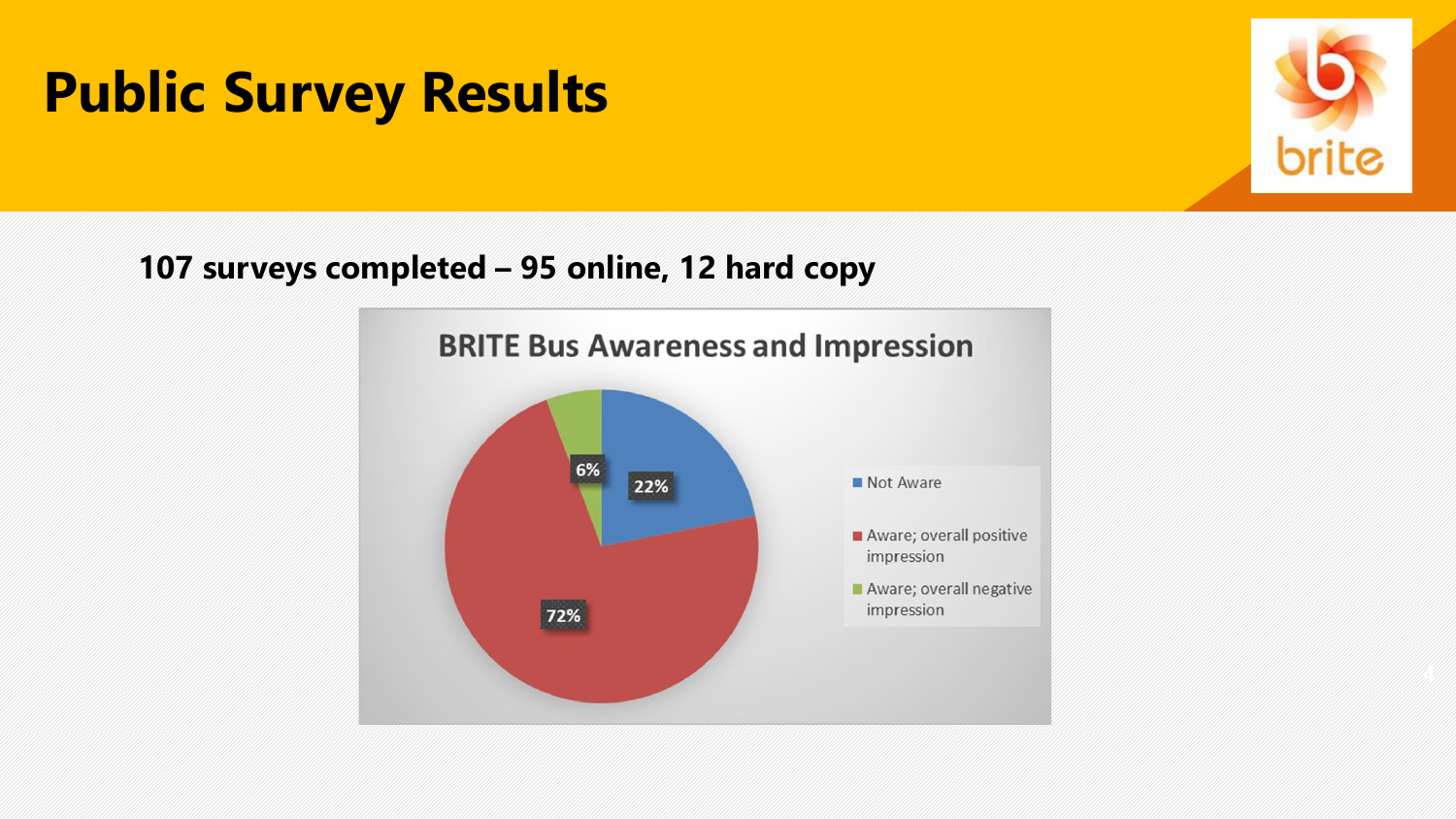

**107 surveys completed – 95 online, 12 hard copy**

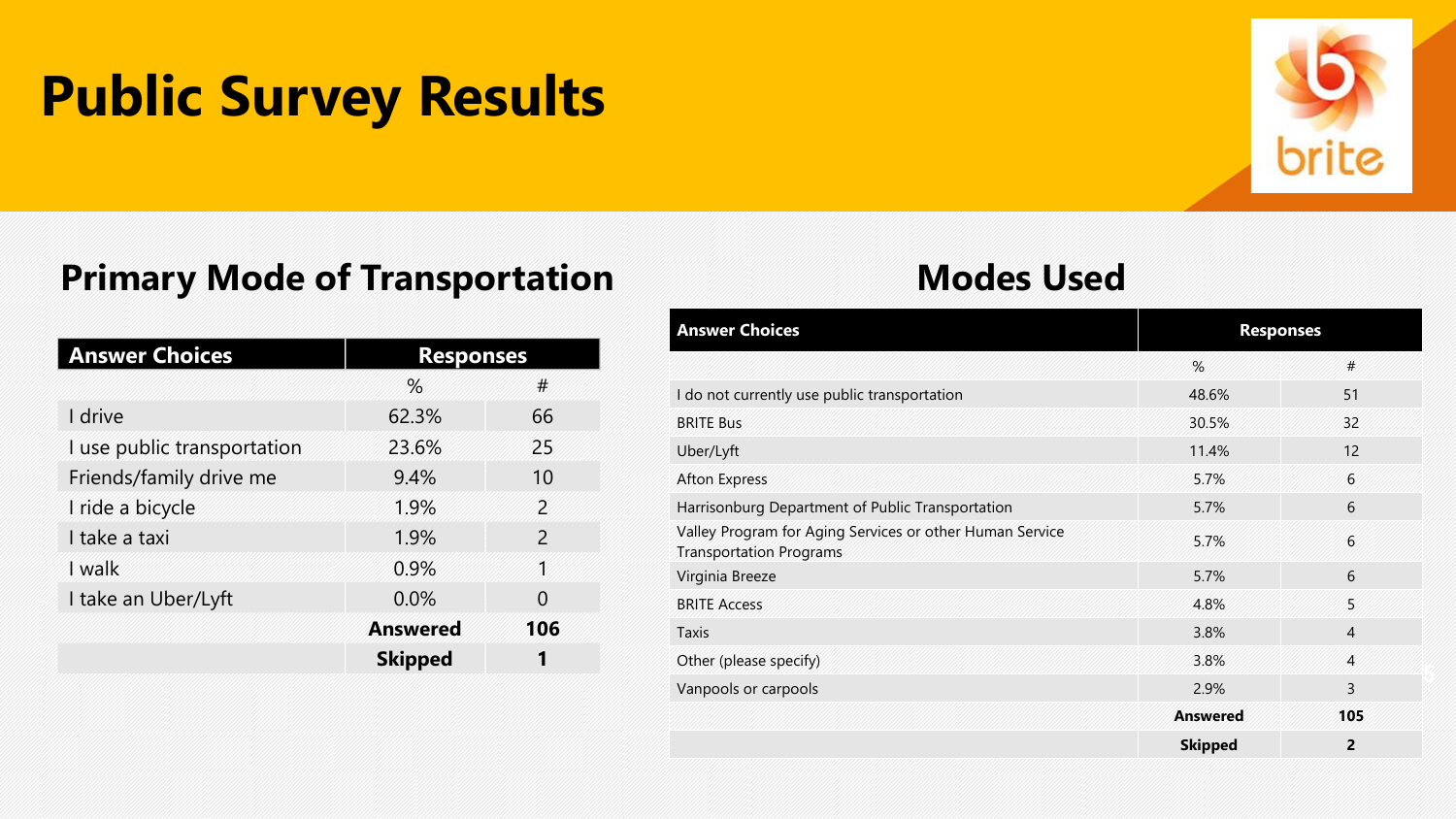

### **Primary Mode of Transportation Modes Used**

| <b>Answer Choices</b>       | <b>Responses</b> |                          |  |
|-----------------------------|------------------|--------------------------|--|
|                             | $\%$             | #                        |  |
| I drive                     | 62.3%            | 66                       |  |
| I use public transportation | 23.6%            | 25                       |  |
| Friends/family drive me     | 9.4%             | 10                       |  |
| I ride a bicycle            | 1.9%             | $\overline{\phantom{a}}$ |  |
| I take a taxi               | 1.9%             | $\mathcal{P}$            |  |
| I walk                      | 0.9%             | 1                        |  |
| I take an Uber/Lyft         | $0.0\%$          | O                        |  |
|                             | <b>Answered</b>  | 106                      |  |
|                             | <b>Skipped</b>   |                          |  |

| <b>Answer Choices</b>                                                                      | <b>Responses</b> |                |
|--------------------------------------------------------------------------------------------|------------------|----------------|
|                                                                                            | %                | #              |
| I do not currently use public transportation                                               | 48.6%            | 51             |
| <b>BRITE Bus</b>                                                                           | 30.5%            | 32             |
| Uber/Lyft                                                                                  | 11.4%            | 12             |
| <b>Afton Express</b>                                                                       | 5.7%             | 6              |
| Harrisonburg Department of Public Transportation                                           | 5.7%             | 6              |
| Valley Program for Aging Services or other Human Service<br><b>Transportation Programs</b> | 5.7%             | 6              |
| Virginia Breeze                                                                            | 5.7%             | 6              |
| <b>BRITE Access</b>                                                                        | 4.8%             | 5              |
| <b>Taxis</b>                                                                               | 3.8%             | $\overline{4}$ |
| Other (please specify)                                                                     | 3.8%             | $\overline{4}$ |
| Vanpools or carpools                                                                       | 2.9%             | 3              |
|                                                                                            | <b>Answered</b>  | 105            |
|                                                                                            | <b>Skipped</b>   | $\overline{2}$ |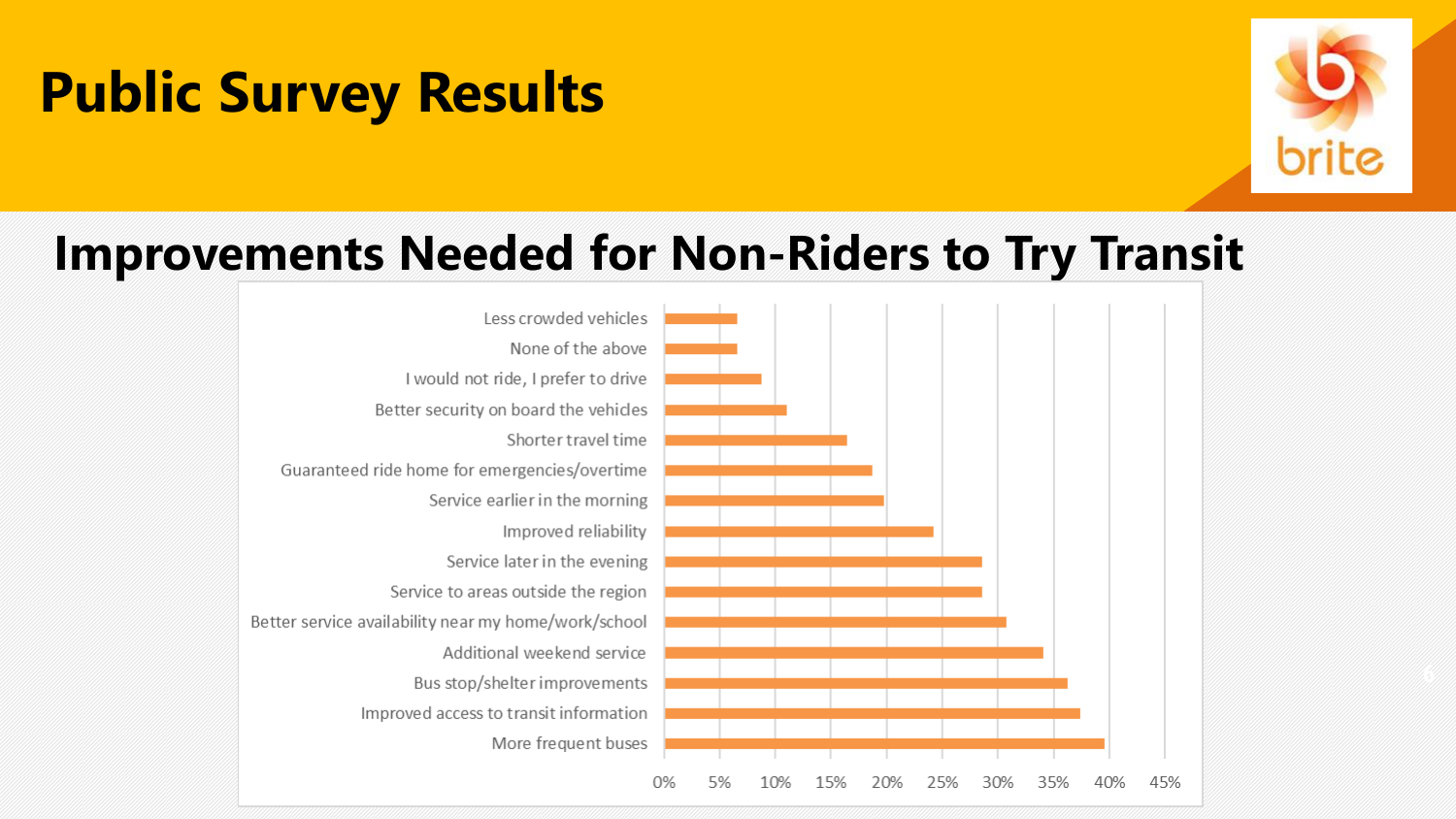

### **Improvements Needed for Non-Riders to Try Transit**

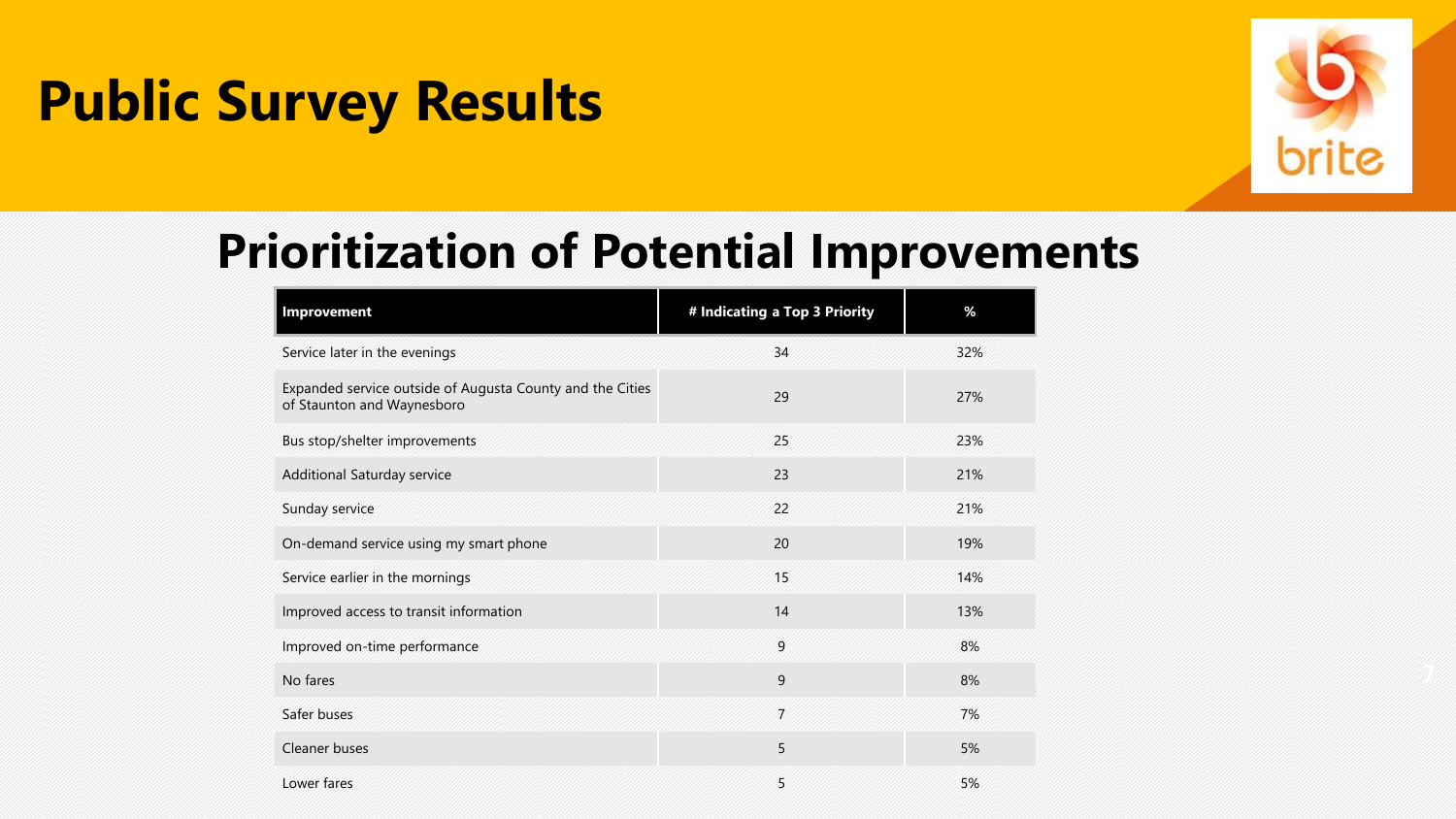

### **Prioritization of Potential Improvements**

| Improvement                                                                             | # Indicating a Top 3 Priority | %   |
|-----------------------------------------------------------------------------------------|-------------------------------|-----|
| Service later in the evenings                                                           | 34                            | 32% |
| Expanded service outside of Augusta County and the Cities<br>of Staunton and Waynesboro | 29                            | 27% |
| Bus stop/shelter improvements                                                           | 25                            | 23% |
| Additional Saturday service                                                             | 23                            | 21% |
| Sunday service                                                                          | 22                            | 21% |
| On-demand service using my smart phone                                                  | 20                            | 19% |
| Service earlier in the mornings                                                         | 15                            | 14% |
| Improved access to transit information                                                  | 14                            | 13% |
| Improved on-time performance                                                            | 9                             | 8%  |
| No fares                                                                                | 9                             | 8%  |
| Safer buses                                                                             | $\overline{7}$                | 7%  |
| Cleaner buses                                                                           | 5                             | 5%  |
| Lower fares                                                                             | 5                             | 5%  |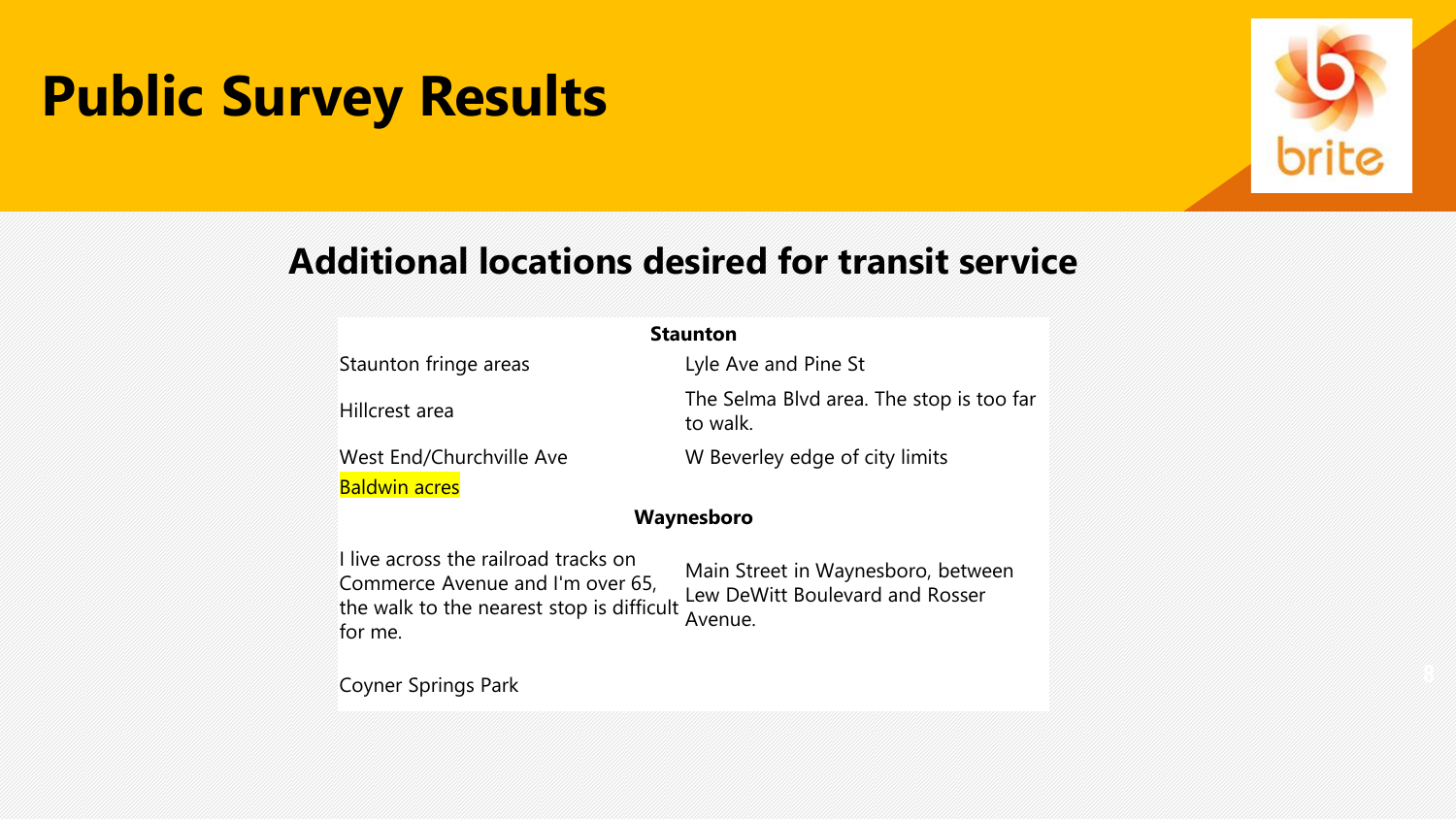

### **Additional locations desired for transit service**

| <b>Staunton</b>                                                                                                                  |                                                                                  |  |  |  |
|----------------------------------------------------------------------------------------------------------------------------------|----------------------------------------------------------------------------------|--|--|--|
| Staunton fringe areas                                                                                                            | Lyle Ave and Pine St                                                             |  |  |  |
| Hillcrest area                                                                                                                   | The Selma Blvd area. The stop is too far<br>to walk.                             |  |  |  |
| West End/Churchville Ave                                                                                                         | W Beverley edge of city limits                                                   |  |  |  |
| Baldwin acres                                                                                                                    |                                                                                  |  |  |  |
| Waynesboro                                                                                                                       |                                                                                  |  |  |  |
| I live across the railroad tracks on<br>Commerce Avenue and I'm over 65,<br>the walk to the nearest stop is difficult<br>for me. | Main Street in Waynesboro, between<br>Lew DeWitt Boulevard and Rosser<br>Avenue. |  |  |  |
| Coyner Springs Park                                                                                                              |                                                                                  |  |  |  |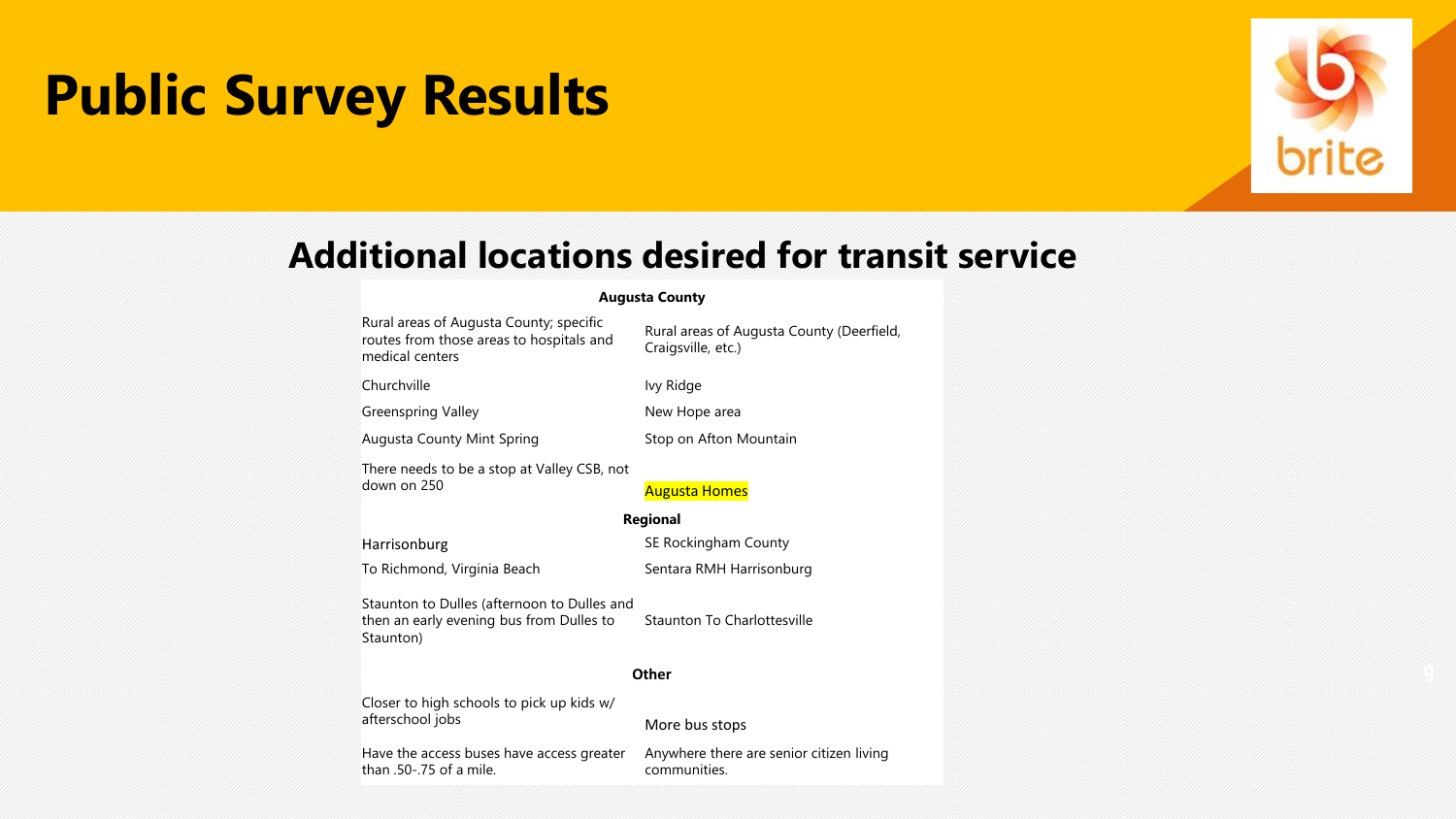

### **Additional locations desired for transit service**

#### **Augusta County**

Rural areas of Augusta County; specific routes from those areas to hospitals and medical centers

Churchville **IVy Ridge** 

Greenspring Valley **New Hope area** 

Augusta County Mint Spring **Stop on Afton Mountain** 

Craigsville, etc.)

Rural areas of Augusta County (Deerfield,

There needs to be a stop at Valley CSB, not down on 250

#### **Regional**

To Richmond, Virginia Beach Sentara RMH Harrisonburg

Harrisonburg **SE Rockingham County** 

Staunton to Dulles (afternoon to Dulles and then an early evening bus from Dulles to Staunton)

Staunton To Charlottesville

#### **Other**

Closer to high schools to pick up kids w/ afterschool jobs More bus stops

Have the access buses have access greater than .50-.75 of a mile.

Anywhere there are senior citizen living communities.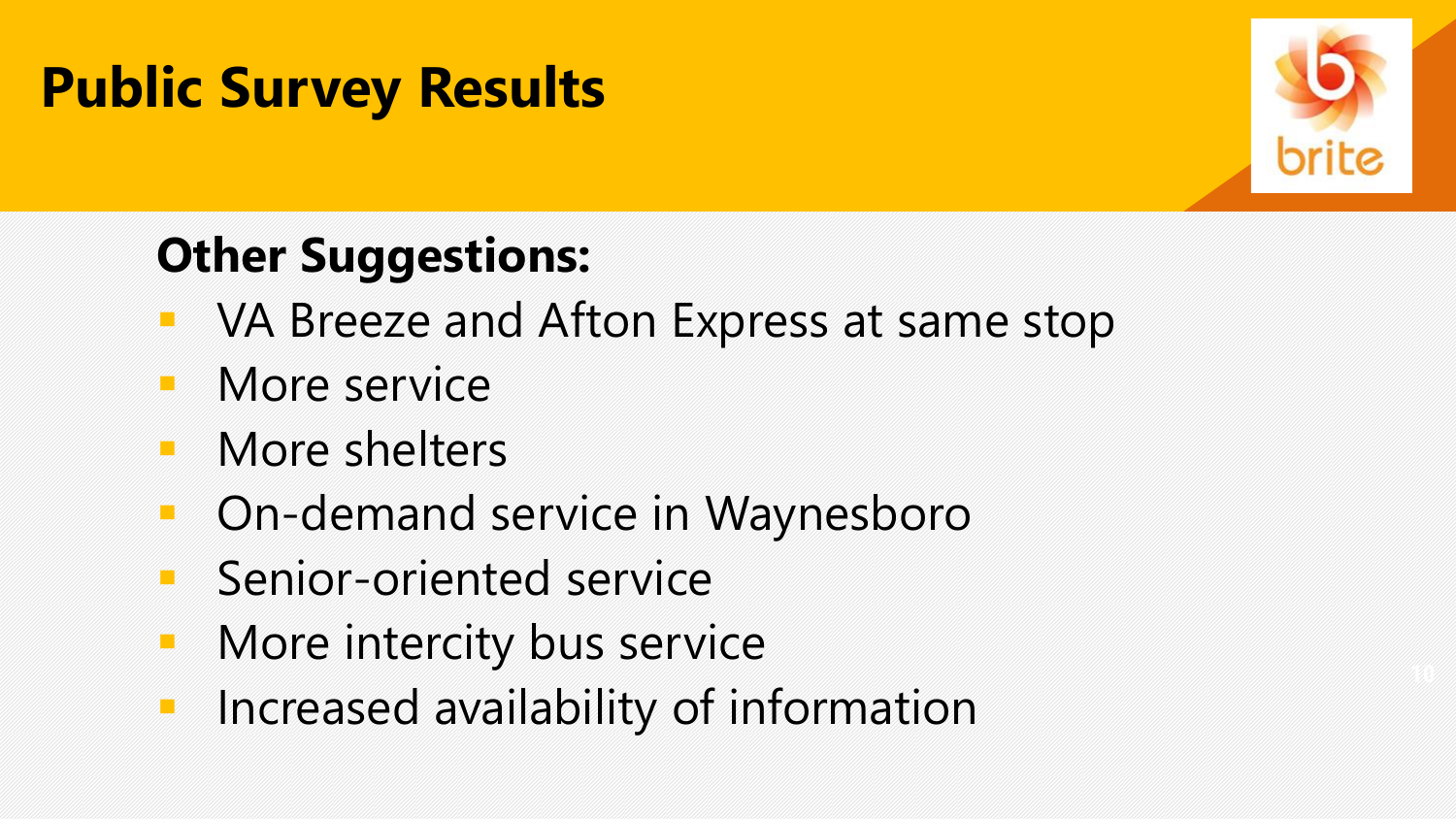

## **Other Suggestions:**

- VA Breeze and Afton Express at same stop
- More service
- More shelters
- On-demand service in Waynesboro
- **E** Senior-oriented service
- More intercity bus service
- **·** Increased availability of information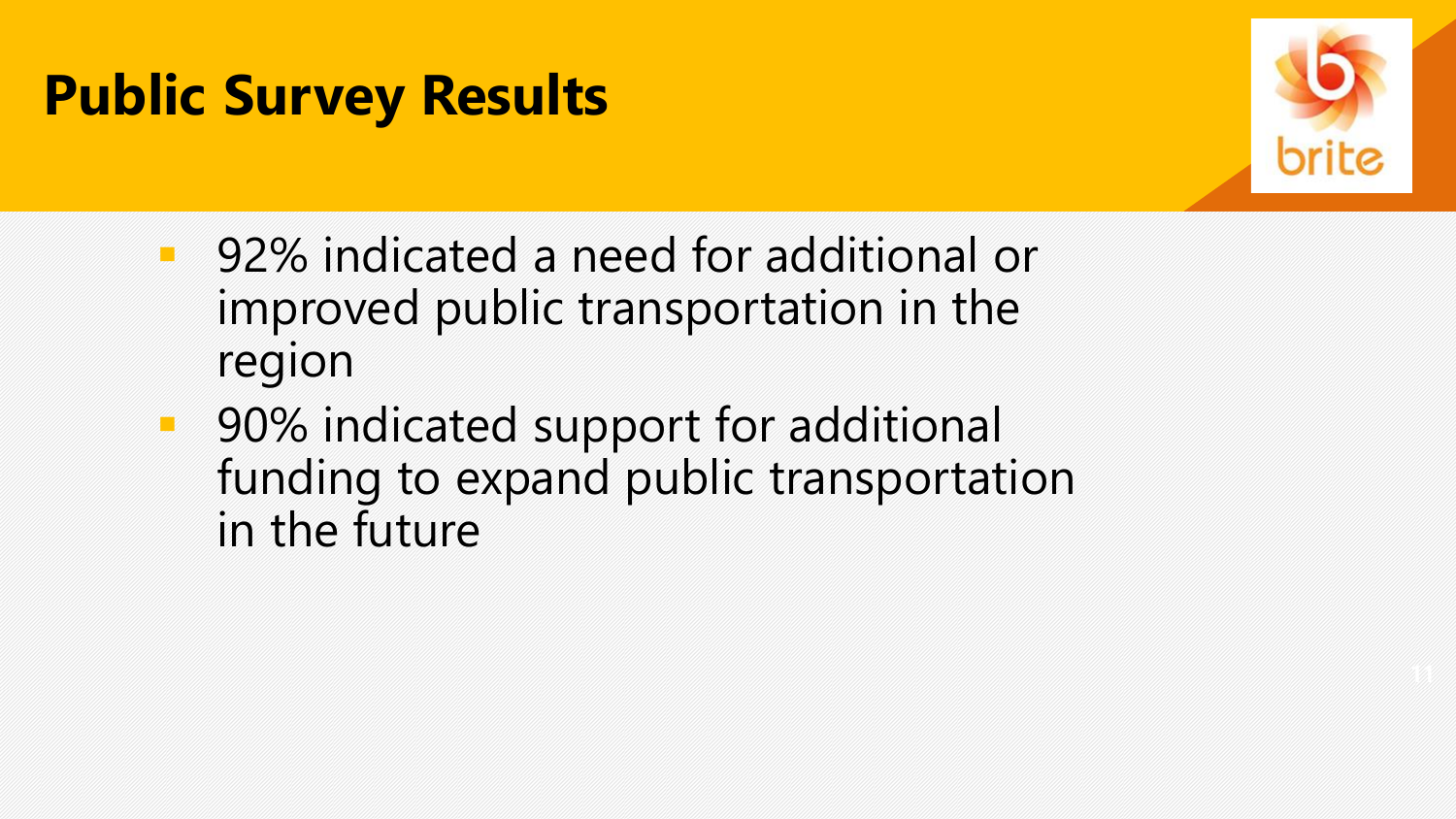

- 92% indicated a need for additional or improved public transportation in the region
- 90% indicated support for additional funding to expand public transportation in the future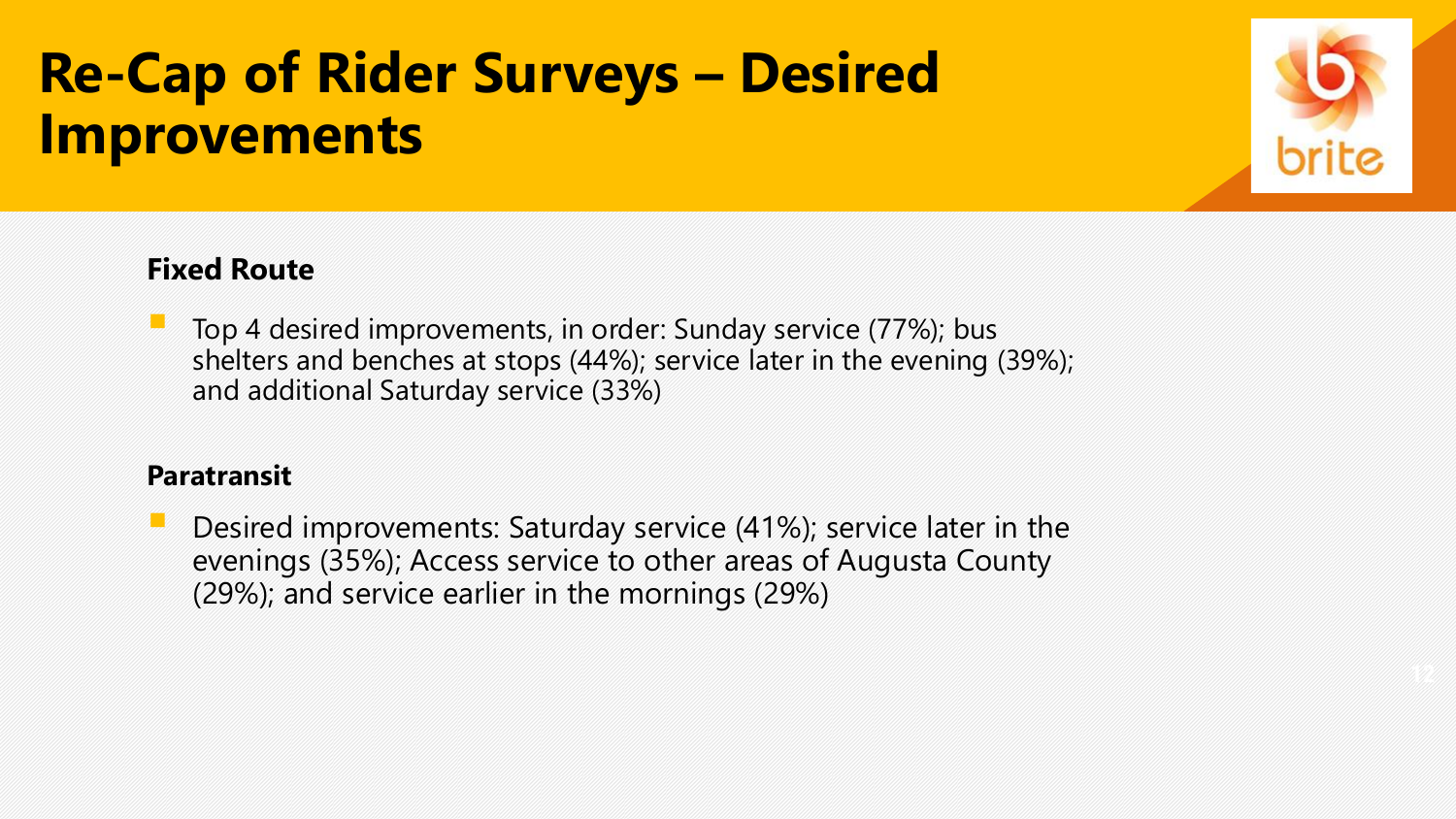## **Re-Cap of Rider Surveys – Desired Improvements**



### **Fixed Route**

Top 4 desired improvements, in order: Sunday service (77%); bus shelters and benches at stops (44%); service later in the evening (39%); and additional Saturday service (33%)

### **Paratransit**

Desired improvements: Saturday service (41%); service later in the evenings (35%); Access service to other areas of Augusta County (29%); and service earlier in the mornings (29%)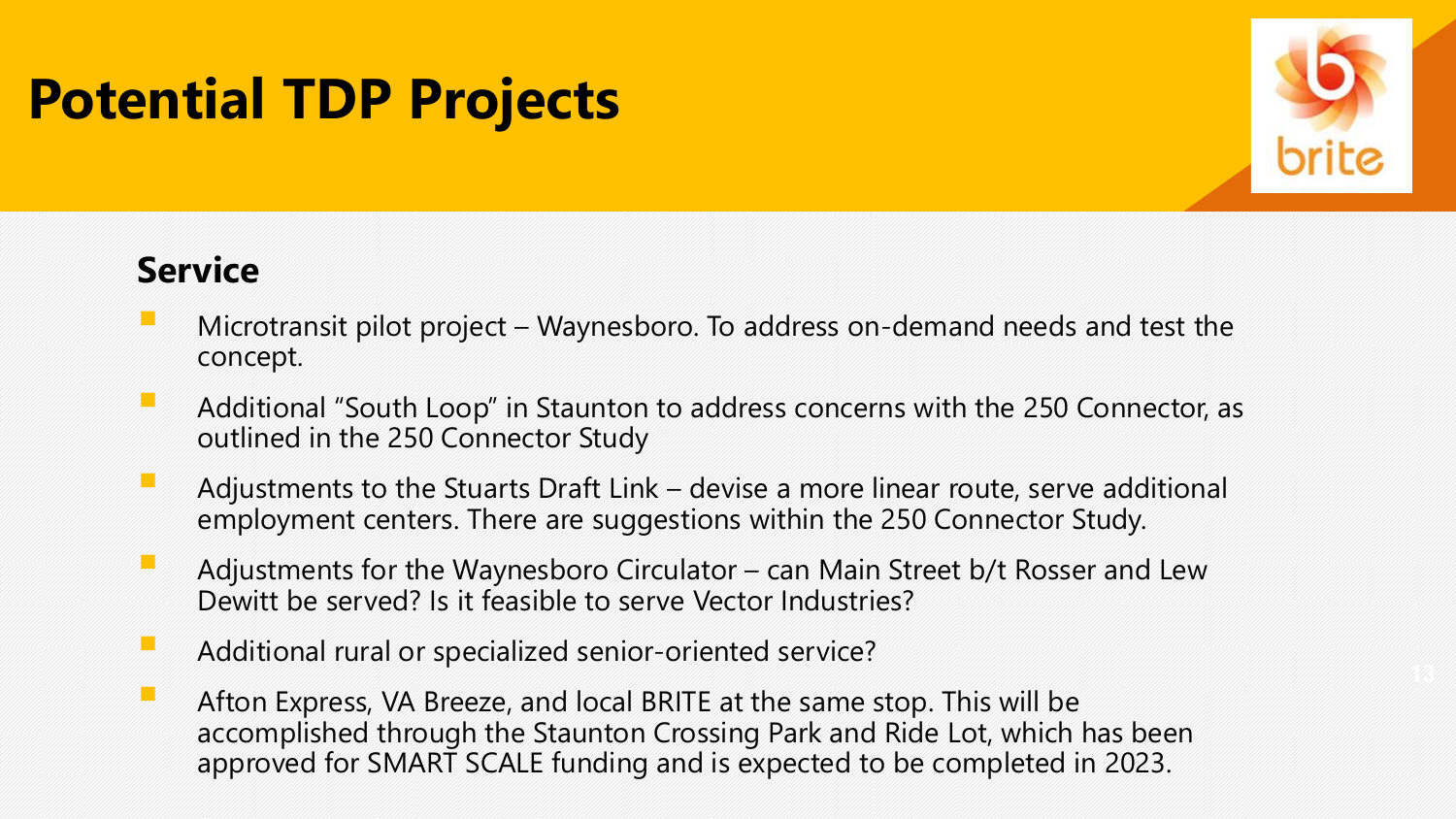

### **Service**

- Microtransit pilot project Waynesboro. To address on-demand needs and test the concept.
- Additional "South Loop" in Staunton to address concerns with the 250 Connector, as outlined in the 250 Connector Study
- $\blacksquare$  Adjustments to the Stuarts Draft Link devise a more linear route, serve additional employment centers. There are suggestions within the 250 Connector Study.
- **E** Adjustments for the Waynesboro Circulator can Main Street b/t Rosser and Lew Dewitt be served? Is it feasible to serve Vector Industries?
- Additional rural or specialized senior-oriented service?
- **EXP** Afton Express, VA Breeze, and local BRITE at the same stop. This will be accomplished through the Staunton Crossing Park and Ride Lot, which has been approved for SMART SCALE funding and is expected to be completed in 2023.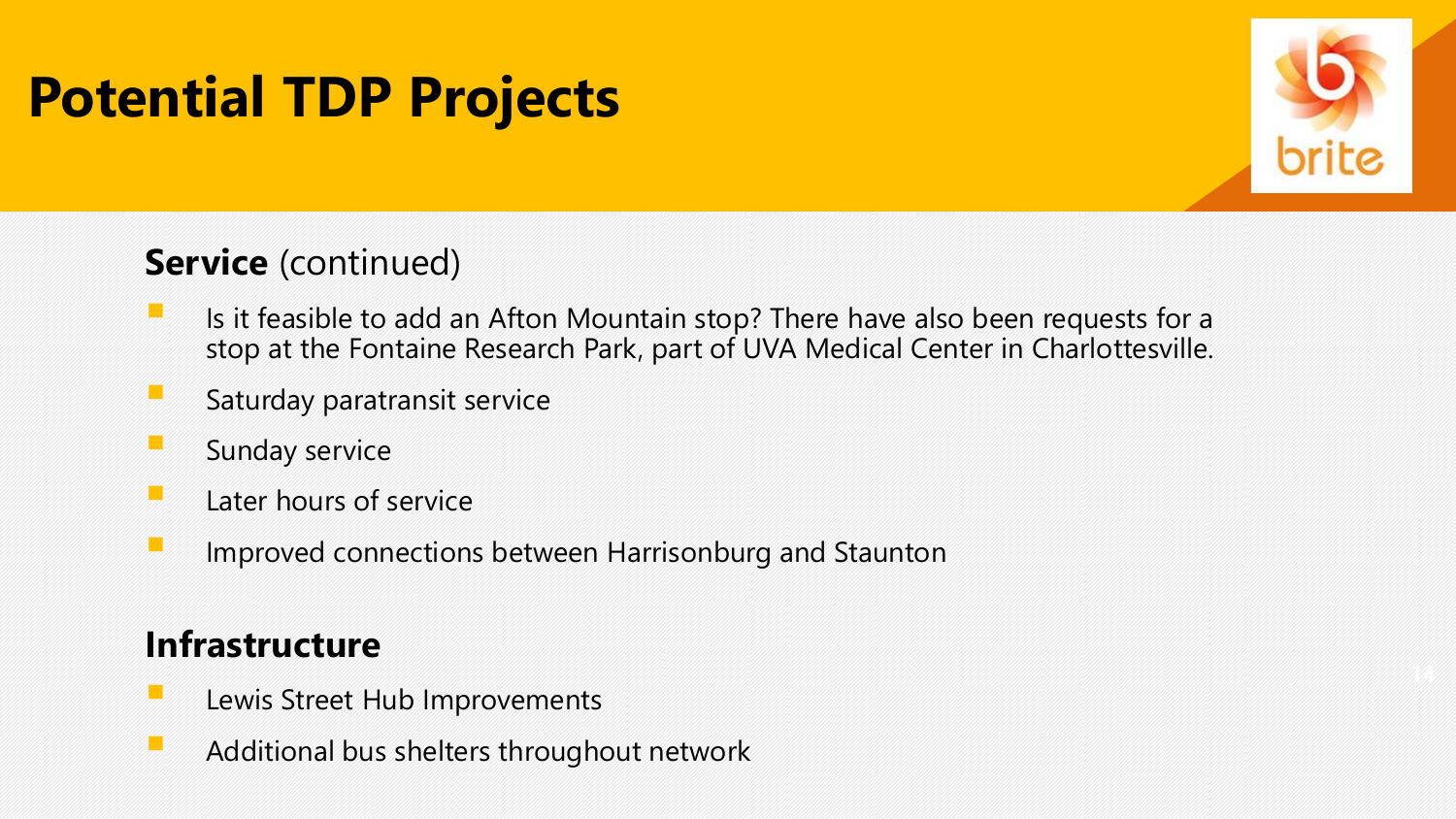

### **Service** (continued)

- **EXECUTE:** Is it feasible to add an Afton Mountain stop? There have also been requests for a stop at the Fontaine Research Park, part of UVA Medical Center in Charlottesville.
- $\blacksquare$  Saturday paratransit service
- $\blacksquare$  Sunday service
- $\blacksquare$  Later hours of service
- **EXTERNITED Improved connections between Harrisonburg and Staunton**

### **Infrastructure**

- Lewis Street Hub Improvements
- Additional bus shelters throughout network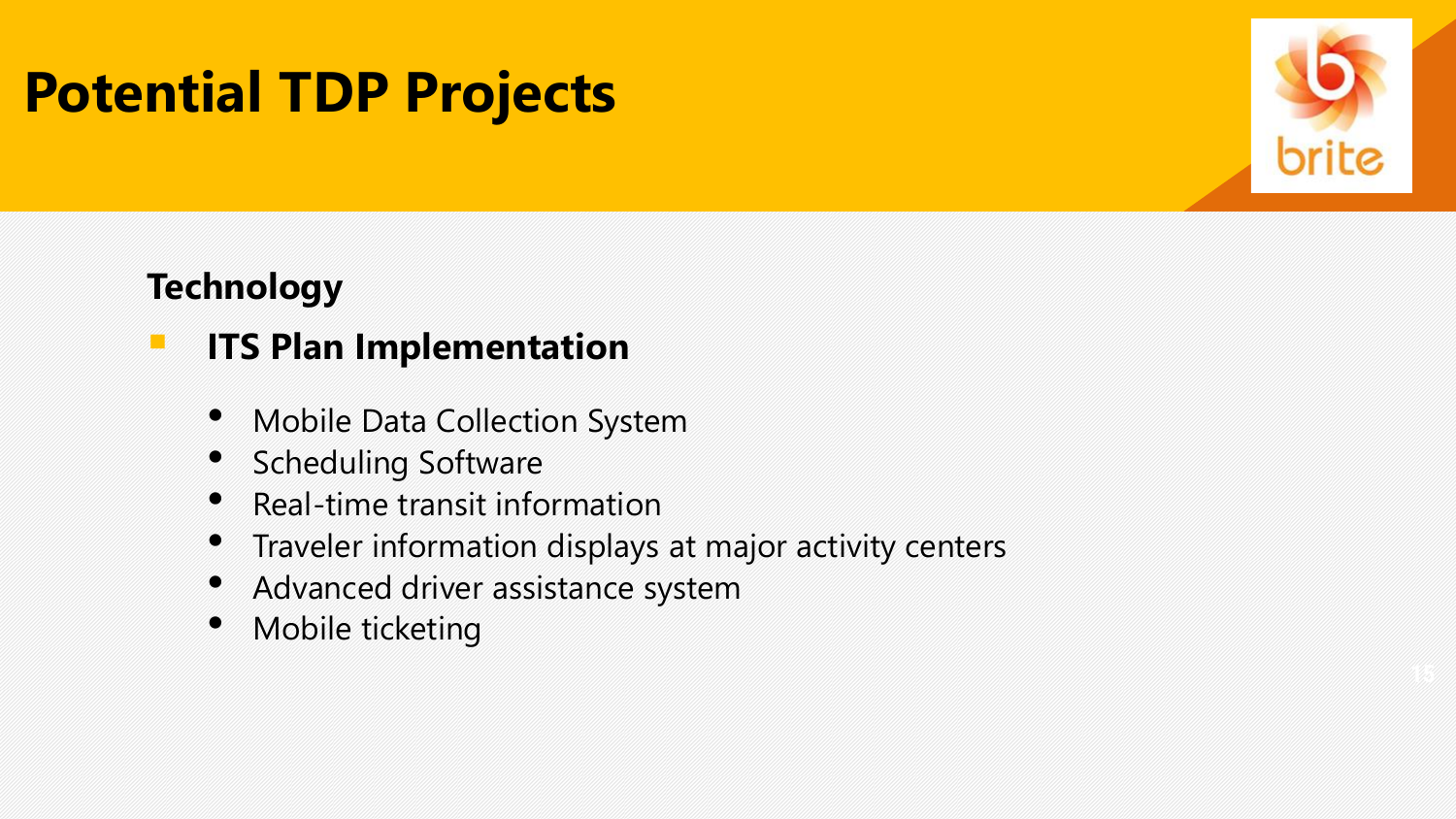

### **Technology**

### **E ITS Plan Implementation**

- Mobile Data Collection System
- Scheduling Software
- Real-time transit information
- Traveler information displays at major activity centers
- Advanced driver assistance system
- Mobile ticketing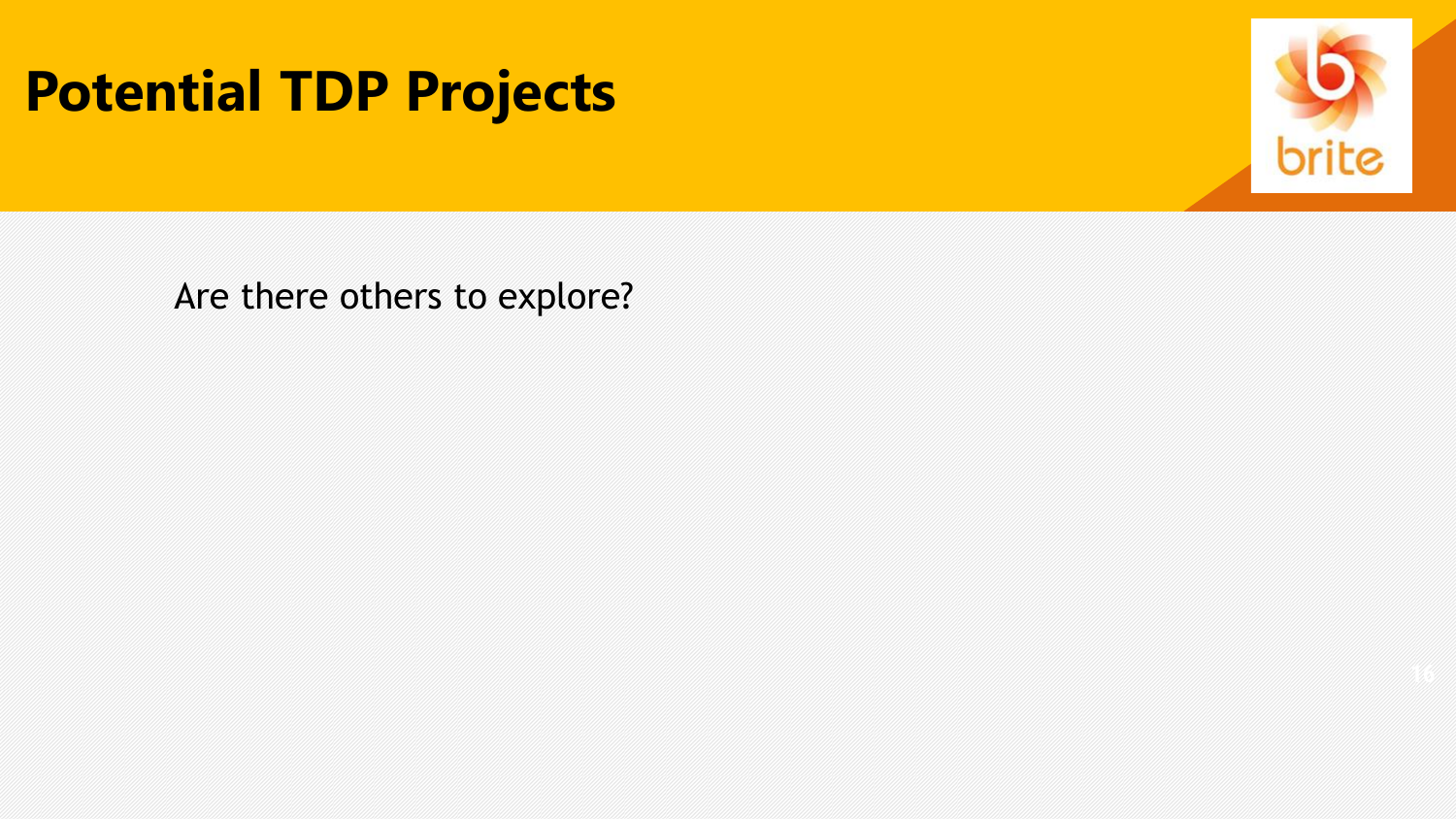

Are there others to explore?